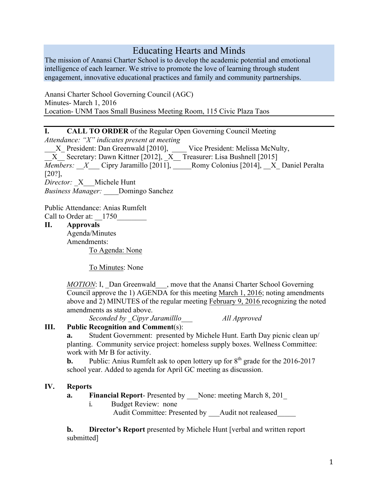# Educating Hearts and Minds

The mission of Anansi Charter School is to develop the academic potential and emotional intelligence of each learner. We strive to promote the love of learning through student engagement, innovative educational practices and family and community partnerships.

Anansi Charter School Governing Council (AGC) Minutes- March 1, 2016 Location- UNM Taos Small Business Meeting Room, 115 Civic Plaza Taos

**I. CALL TO ORDER** of the Regular Open Governing Council Meeting

*Attendance: "X" indicates present at meeting*

\_\_\_X\_ President: Dan Greenwald [2010], \_\_\_\_ Vice President: Melissa McNulty,

\_\_X\_\_ Secretary: Dawn Kittner [2012], \_X\_\_ Treasurer: Lisa Bushnell [2015]

*Members: X* Cipry Jaramillo [2011], Romy Colonius [2014], *\_\_X\_* Daniel Peralta [20?],

*Director:* \_X\_\_\_Michele Hunt

*Business Manager:* \_\_\_\_Domingo Sanchez

Public Attendance: Anias Rumfelt Call to Order at:  $1750$ 

**II. Approvals**

Agenda/Minutes Amendments: To Agenda: None

To Minutes: None

*MOTION*: I, \_Dan Greenwald\_\_\_, move that the Anansi Charter School Governing Council approve the 1) AGENDA for this meeting March 1, 2016; noting amendments above and 2) MINUTES of the regular meeting February 9, 2016 recognizing the noted amendments as stated above.

*Seconded by \_Cipyr Jaramilllo\_\_\_ All Approved*

# **III. Public Recognition and Comment**(s):

**a.** Student Government: presented by Michele Hunt. Earth Day picnic clean up/ planting. Community service project: homeless supply boxes. Wellness Committee: work with Mr B for activity.

**b.** Public: Anius Rumfelt ask to open lottery up for  $8<sup>th</sup>$  grade for the 2016-2017 school year. Added to agenda for April GC meeting as discussion.

# **IV. Reports**

**a. Financial Report**- Presented by \_\_\_None: meeting March 8, 201\_

i. Budget Review: none

Audit Committee: Presented by Audit not realeased

**b. Director's Report** presented by Michele Hunt [verbal and written report submitted]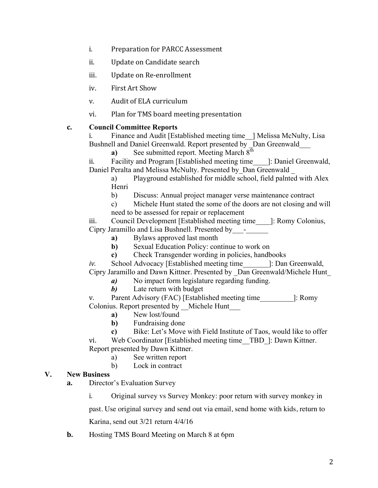- i. Preparation for PARCC Assessment
- ii. Update on Candidate search
- iii. Update on Re-enrollment
- iv. First Art Show
- v. Audit of ELA curriculum
- vi. Plan for TMS board meeting presentation
- **c. Council Committee Reports**

i. Finance and Audit [Established meeting time | Melissa McNulty, Lisa Bushnell and Daniel Greenwald. Report presented by Dan Greenwald

**a**) See submitted report. Meeting March 8<sup>th</sup>

ii. Facility and Program [Established meeting time\_\_\_\_]: Daniel Greenwald, Daniel Peralta and Melissa McNulty. Presented by Dan Greenwald

- a) Playground established for middle school, field palnted with Alex Henri
- b) Discuss: Annual project manager verse maintenance contract
- c) Michele Hunt stated the some of the doors are not closing and will need to be assessed for repair or replacement

iii. Council Development [Established meeting time\_\_\_\_]: Romy Colonius, Cipry Jaramillo and Lisa Bushnell. Presented by\_\_\_-\_\_\_\_\_\_

- **a)** Bylaws approved last month
- **b**) Sexual Education Policy: continue to work on
- **c)** Check Transgender wording in policies, handbooks

*iv.* School Advocacy [Established meeting time  $\blacksquare$ : Dan Greenwald, Cipry Jaramillo and Dawn Kittner. Presented by \_Dan Greenwald/Michele Hunt\_

- *a*) No impact form legislature regarding funding.
- *b)* Late return with budget

v. Parent Advisory (FAC) [Established meeting time [: Romy]: Colonius. Report presented by Michele Hunt

- **a)** New lost/found
- **b)** Fundraising done
- **c)** Bike: Let's Move with Field Institute of Taos, would like to offer
- vi. Web Coordinator [Established meeting time\_\_TBD\_]: Dawn Kittner. Report presented by Dawn Kittner.
	- a) See written report
	- b) Lock in contract

#### **V. New Business**

- **a.** Director's Evaluation Survey
	- i. Original survey vs Survey Monkey: poor return with survey monkey in

past. Use original survey and send out via email, send home with kids, return to

Karina, send out 3/21 return 4/4/16

**b.** Hosting TMS Board Meeting on March 8 at 6pm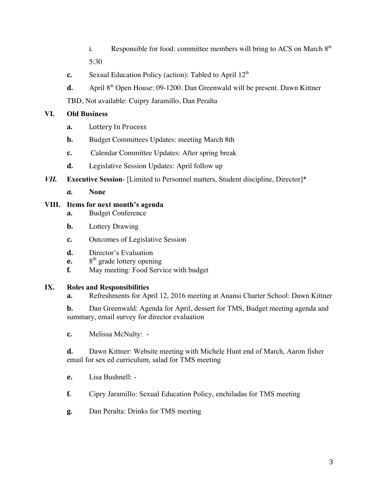- i. Responsible for food: committee members will bring to ACS on March  $8<sup>th</sup>$ 5:30
- **c.** Sexual Education Policy (action): Tabled to April 12<sup>th</sup>
- **d.** April 8<sup>th</sup> Open House: 09-1200. Dan Greenwald will be present. Dawn Kittner

TBD, Not available: Cuipry Jaramillo, Dan Peralta

## **VI. Old Business**

- **a.** Lottery In Process
- **b.** Budget Committees Updates: meeting March 8th
- **c.** Calendar Committee Updates: After spring break
- **d.** Legislative Session Updates: April follow up
- *VII.* **Executive Session** [Limited to Personnel matters, Student discipline, Director]\*
	- *a.* **None**

## **VIII. Items for next month's agenda**

- **a.** Budget Conference
- **b.** Lottery Drawing
- **c.** Outcomes of Legislative Session
- **d.** Director's Evaluation
- **e.** 8<sup>th</sup> grade lottery opening
- **f.** May meeting: Food Service with budget

#### **IX. Roles and Responsibilities**

**a.** Refreshments for April 12, 2016 meeting at Anansi Charter School: Dawn Kittner

**b.** Dan Greenwald: Agenda for April, dessert for TMS, Budget meeting agenda and summary, email survey for director evaluation

**c.** Melissa McNulty: -

**d.** Dawn Kittner: Website meeting with Michele Hunt end of March, Aaron fisher email for sex ed curriculum, salad for TMS meeting

- **e.** Lisa Bushnell: -
- **f.** Cipry Jaramillo: Sexual Education Policy, enchiladas for TMS meeting
- **g.** Dan Peralta: Drinks for TMS meeting